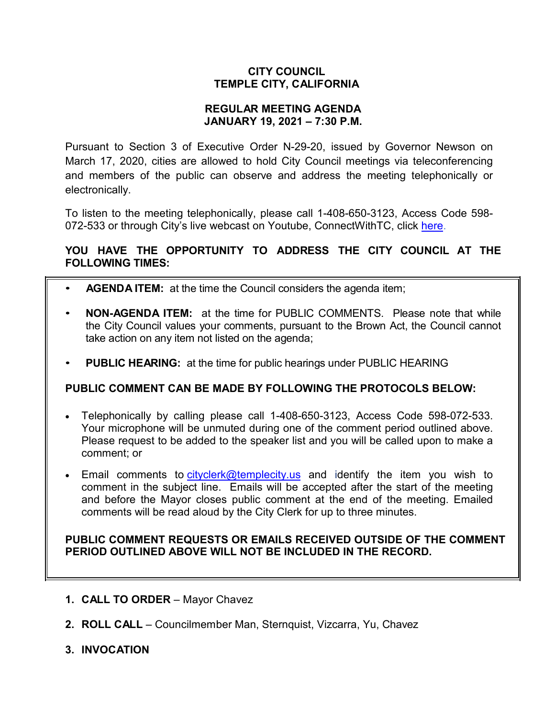## **CITY COUNCIL TEMPLE CITY, CALIFORNIA**

#### **REGULAR MEETING AGENDA JANUARY 19, 2021 – 7:30 P.M.**

Pursuant to Section 3 of Executive Order N-29-20, issued by Governor Newson on March 17, 2020, cities are allowed to hold City Council meetings via teleconferencing and members of the public can observe and address the meeting telephonically or electronically.

To listen to the meeting telephonically, please call 1-408-650-3123, Access Code 598 072-533 or through City's live webcast on Youtube, ConnectWithTC, click [here.](https://www.ci.temple-city.ca.us/516/Meeting-Webcast)

# **YOU HAVE THE OPPORTUNITY TO ADDRESS THE CITY COUNCIL AT THE FOLLOWING TIMES:**

- **AGENDA ITEM:** at the time the Council considers the agenda item;
- **NON-AGENDA ITEM:** at the time for PUBLIC COMMENTS. Please note that while the City Council values your comments, pursuant to the Brown Act, the Council cannot take action on any item not listed on the agenda;
- **PUBLIC HEARING:** at the time for public hearings under PUBLIC HEARING

# **PUBLIC COMMENT CAN BE MADE BY FOLLOWING THE PROTOCOLS BELOW:**

- Telephonically by calling please call 1-408-650-3123, Access Code 598-072-533. Your microphone will be unmuted during one of the comment period outlined above. Please request to be added to the speaker list and you will be called upon to make a comment; or
- Email comments to [cityclerk@templecity.us](mailto:cityclerk@templecity.us) and identify the item you wish to comment in the subject line. Emails will be accepted after the start of the meeting and before the Mayor closes public comment at the end of the meeting. Emailed comments will be read aloud by the City Clerk for up to three minutes.

#### **PUBLIC COMMENT REQUESTS OR EMAILS RECEIVED OUTSIDE OF THE COMMENT PERIOD OUTLINED ABOVE WILL NOT BE INCLUDED IN THE RECORD.**

- **1. CALL TO ORDER**  Mayor Chavez
- **2. ROLL CALL**  Councilmember Man, Sternquist, Vizcarra, Yu, Chavez
- **3. INVOCATION**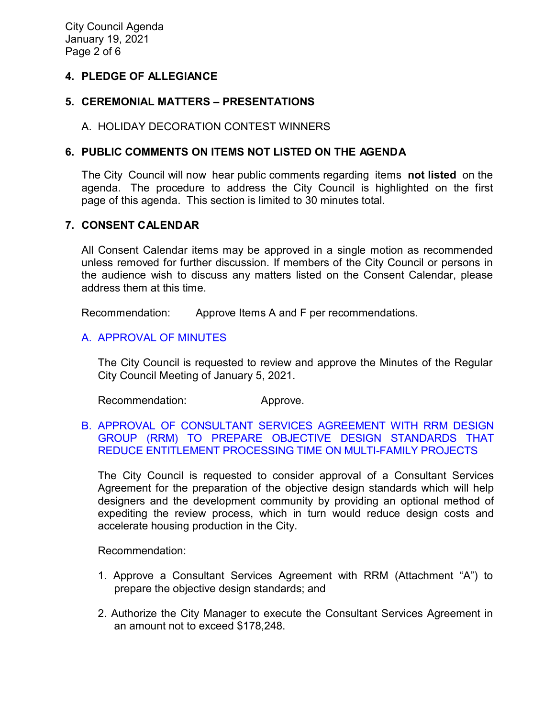## **4. PLEDGE OF ALLEGIANCE**

### **5. CEREMONIAL MATTERS – PRESENTATIONS**

### A. HOLIDAY DECORATION CONTEST WINNERS

## **6. PUBLIC COMMENTS ON ITEMS NOT LISTED ON THE AGENDA**

The City Council will now hear public comments regarding items **not listed** on the agenda. The procedure to address the City Council is highlighted on the first page of this agenda. This section is limited to 30 minutes total.

#### **7. CONSENT CALENDAR**

All Consent Calendar items may be approved in a single motion as recommended unless removed for further discussion. If members of the City Council or persons in the audience wish to discuss any matters listed on the Consent Calendar, please address them at this time.

Recommendation: Approve Items A and F per recommendations.

## A. [APPROVAL](https://ca-templecity.civicplus.com/DocumentCenter/View/15610/7A_CCM---2021-01-05) OF MINUTES

The City Council is requested to review and approve the Minutes of the Regular City Council Meeting of January 5, 2021.

Recommendation: Approve.

## B. [APPROVAL OF CONSULTANT SERVICES AGREEMENT WITH RRM DESIGN](https://ca-templecity.civicplus.com/DocumentCenter/View/15614/7B_ODS_Staff-Report_RRM-Design_11920_Final-w-attachment)  [GROUP \(RRM\) TO PREPARE OBJECTIVE DESIGN STANDARDS THAT](https://ca-templecity.civicplus.com/DocumentCenter/View/15614/7B_ODS_Staff-Report_RRM-Design_11920_Final-w-attachment)  [REDUCE ENTITLEMENT PROCESSING TIME ON MULTI-FAMILY PROJECTS](https://ca-templecity.civicplus.com/DocumentCenter/View/15614/7B_ODS_Staff-Report_RRM-Design_11920_Final-w-attachment)

The City Council is requested to consider approval of a Consultant Services Agreement for the preparation of the objective design standards which will help designers and the development community by providing an optional method of expediting the review process, which in turn would reduce design costs and accelerate housing production in the City.

Recommendation:

- 1. Approve a Consultant Services Agreement with RRM (Attachment "A") to prepare the objective design standards; and
- 2. Authorize the City Manager to execute the Consultant Services Agreement in an amount not to exceed \$178,248.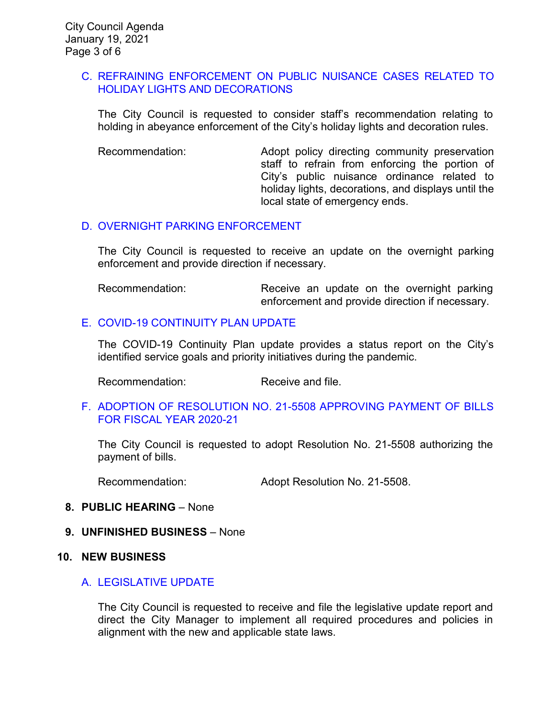#### C. [REFRAINING ENFORCEMENT ON PUBLIC NUISANCE CASES RELATED TO](https://ca-templecity.civicplus.com/DocumentCenter/View/15611/7C_Holiday-Decorations_staff-report_final)  [HOLIDAY LIGHTS AND DECORATIONS](https://ca-templecity.civicplus.com/DocumentCenter/View/15611/7C_Holiday-Decorations_staff-report_final)

The City Council is requested to consider staff's recommendation relating to holding in abeyance enforcement of the City's holiday lights and decoration rules.

Recommendation: Adopt policy directing community preservation staff to refrain from enforcing the portion of City's public nuisance ordinance related to holiday lights, decorations, and displays until the local state of emergency ends.

## D. [OVERNIGHT PARKING ENFORCEMENT](https://ca-templecity.civicplus.com/DocumentCenter/View/15613/7D_Overnight-Parking_Staff-Report_Final)

The City Council is requested to receive an update on the overnight parking enforcement and provide direction if necessary.

Recommendation: Receive an update on the overnight parking enforcement and provide direction if necessary.

## E. [COVID-19 CONTINUITY PLAN UPDATE](https://ca-templecity.civicplus.com/DocumentCenter/View/15615/7E_COVID-19-OPERATIONAL-STATUS-UPDATE_final)

The COVID-19 Continuity Plan update provides a status report on the City's identified service goals and priority initiatives during the pandemic.

Recommendation: Receive and file.

#### F. [ADOPTION OF RESOLUTION NO. 21-5508](https://ca-templecity.civicplus.com/DocumentCenter/View/15612/7F_Warrant-Register_Reso-No-21-5508-011921---Warrants--Demands-FY-2020-2021_w-attachment) APPROVING PAYMENT OF BILLS [FOR FISCAL YEAR 2020-21](https://ca-templecity.civicplus.com/DocumentCenter/View/15612/7F_Warrant-Register_Reso-No-21-5508-011921---Warrants--Demands-FY-2020-2021_w-attachment)

The City Council is requested to adopt Resolution No. 21-5508 authorizing the payment of bills.

Recommendation: Adopt Resolution No. 21-5508.

#### **8. PUBLIC HEARING** – None

#### **9. UNFINISHED BUSINESS** – None

#### **10. NEW BUSINESS**

#### A. [LEGISLATIVE](https://ca-templecity.civicplus.com/DocumentCenter/View/15616/10A_Legislative-Update_Staff-Report-2021_final-w-attachment) UPDATE

The City Council is requested to receive and file the legislative update report and direct the City Manager to implement all required procedures and policies in alignment with the new and applicable state laws.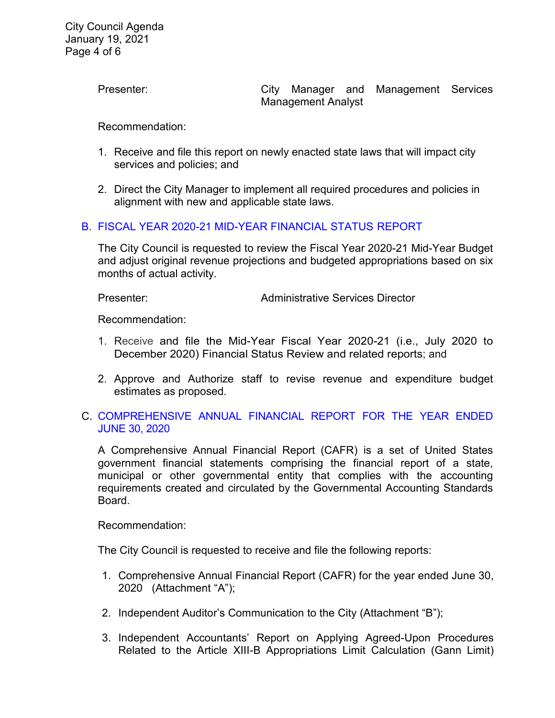Presenter: **Exercise Services** City Manager and Management Services Management Analyst

Recommendation:

- 1. Receive and file this report on newly enacted state laws that will impact city services and policies; and
- 2. Direct the City Manager to implement all required procedures and policies in alignment with new and applicable state laws.

#### B. [FISCAL YEAR 2020-21 MID-YEAR FINANCIAL STATUS](https://ca-templecity.civicplus.com/DocumentCenter/View/15617/10B_Mid-Year_Staff-Report-MidYear-2021-Financial-Report-01-11-2021_final-w-comments) REPORT

The City Council is requested to review the Fiscal Year 2020-21 Mid-Year Budget and adjust original revenue projections and budgeted appropriations based on six months of actual activity.

Presenter: Administrative Services Director

Recommendation:

- 1. Receive and file the Mid-Year Fiscal Year 2020-21 (i.e., July 2020 to December 2020) Financial Status Review and related reports; and
- 2. Approve and Authorize staff to revise revenue and expenditure budget estimates as proposed.
- C. [COMPREHENSIVE ANNUAL FINANCIAL REPORT FOR THE YEAR ENDED](https://ca-templecity.civicplus.com/DocumentCenter/View/15618/10C_CAFR_-Staff-Report---CAFR2020-Final-w-attachments)  [JUNE 30, 2020](https://ca-templecity.civicplus.com/DocumentCenter/View/15618/10C_CAFR_-Staff-Report---CAFR2020-Final-w-attachments)

A Comprehensive Annual Financial Report (CAFR) is a set of United States government financial statements comprising the financial report of a state, municipal or other governmental entity that complies with the accounting requirements created and circulated by the Governmental Accounting Standards Board.

Recommendation:

The City Council is requested to receive and file the following reports:

- 1. Comprehensive Annual Financial Report (CAFR) for the year ended June 30, 2020 (Attachment "A");
- 2. Independent Auditor's Communication to the City (Attachment "B");
- 3. Independent Accountants' Report on Applying Agreed-Upon Procedures Related to the Article XIII-B Appropriations Limit Calculation (Gann Limit)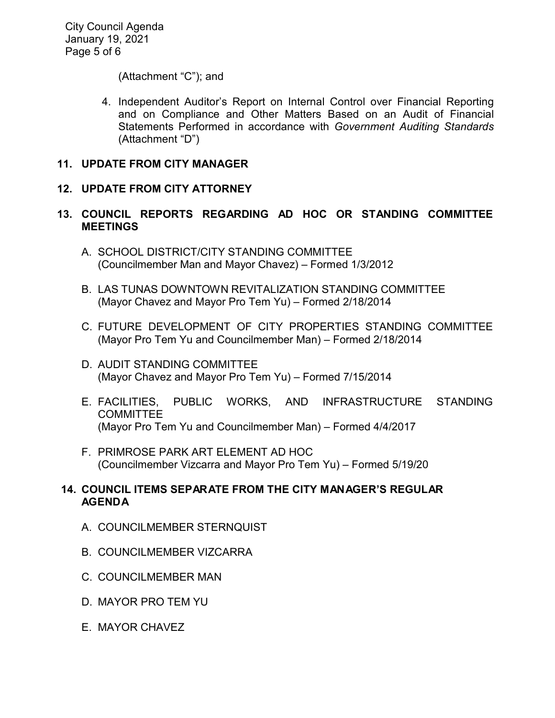City Council Agenda January 19, 2021 Page 5 of 6

(Attachment "C"); and

4. Independent Auditor's Report on Internal Control over Financial Reporting and on Compliance and Other Matters Based on an Audit of Financial Statements Performed in accordance with *Government Auditing Standards* (Attachment "D")

### **11. UPDATE FROM CITY MANAGER**

## **12. UPDATE FROM CITY ATTORNEY**

### **13. COUNCIL REPORTS REGARDING AD HOC OR STANDING COMMITTEE MEETINGS**

- A. SCHOOL DISTRICT/CITY STANDING COMMITTEE (Councilmember Man and Mayor Chavez) – Formed 1/3/2012
- B. LAS TUNAS DOWNTOWN REVITALIZATION STANDING COMMITTEE (Mayor Chavez and Mayor Pro Tem Yu) – Formed 2/18/2014
- C. FUTURE DEVELOPMENT OF CITY PROPERTIES STANDING COMMITTEE (Mayor Pro Tem Yu and Councilmember Man) – Formed 2/18/2014
- D. AUDIT STANDING COMMITTEE (Mayor Chavez and Mayor Pro Tem Yu) – Formed 7/15/2014
- E. FACILITIES, PUBLIC WORKS, AND INFRASTRUCTURE STANDING **COMMITTEE** (Mayor Pro Tem Yu and Councilmember Man) – Formed 4/4/2017
- F. PRIMROSE PARK ART ELEMENT AD HOC (Councilmember Vizcarra and Mayor Pro Tem Yu) – Formed 5/19/20

## **14. COUNCIL ITEMS SEPARATE FROM THE CITY MANAGER'S REGULAR AGENDA**

- A. COUNCILMEMBER STERNQUIST
- B. COUNCILMEMBER VIZCARRA
- C. COUNCILMEMBER MAN
- D. MAYOR PRO TEM YU
- E. MAYOR CHAVEZ